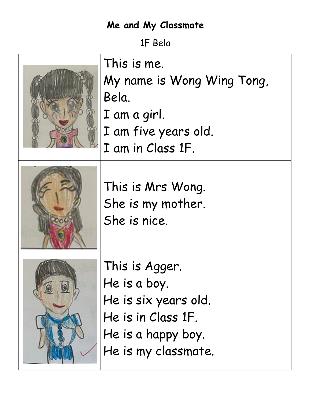1F Bela

| This is me.<br>My name is Wong Wing Tong,<br>Bela.<br>I am a girl.<br>I am five years old.<br>I am in Class 1F.           |
|---------------------------------------------------------------------------------------------------------------------------|
| This is Mrs Wong.<br>She is my mother.<br>She is nice.                                                                    |
| This is Agger.<br>He is a boy.<br>He is six years old.<br>He is in Class 1F.<br>He is a happy boy.<br>He is my classmate. |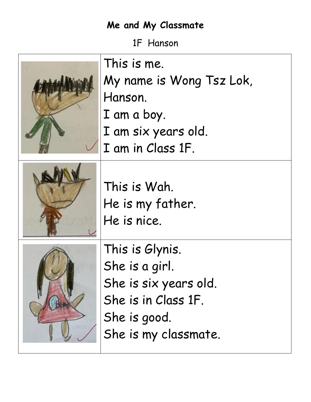1F Hanson

| This is me.<br>My name is Wong Tsz Lok,<br>Hanson.<br>I am a boy.<br>I am six years old.<br>I am in Class 1F.             |
|---------------------------------------------------------------------------------------------------------------------------|
| This is Wah.<br>He is my father.<br>He is nice.                                                                           |
| This is Glynis.<br>She is a girl.<br>She is six years old.<br>She is in Class 1F.<br>She is good.<br>She is my classmate. |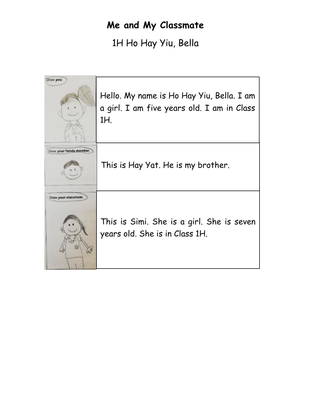1H Ho Hay Yiu, Bella

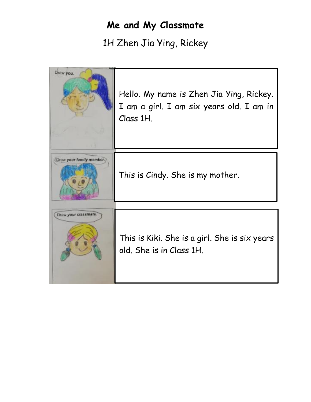1H Zhen Jia Ying, Rickey

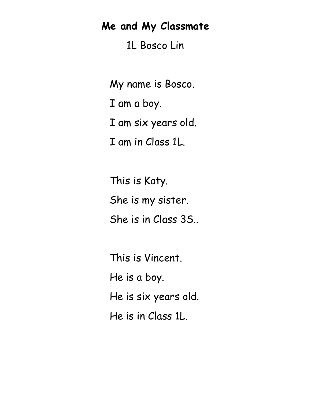1L Bosco Lin

My name is Bosco. I am a boy. I am six years old. I am in Class 1L.

This is Katy. She is my sister. She is in Class 3S..

This is Vincent. He is a boy. He is six years old. He is in Class 1L.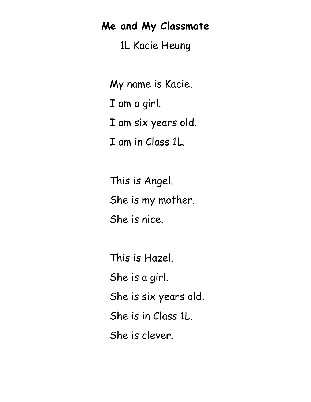1L Kacie Heung

My name is Kacie. I am a girl. I am six years old. I am in Class 1L.

This is Angel. She is my mother. She is nice.

This is Hazel. She is a girl. She is six years old. She is in Class 1L. She is clever.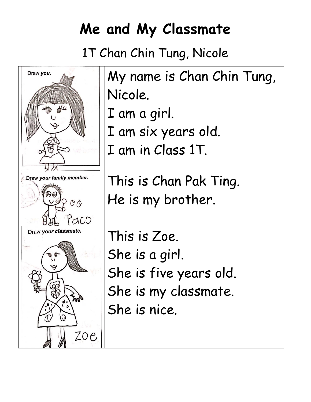1T Chan Chin Tung, Nicole

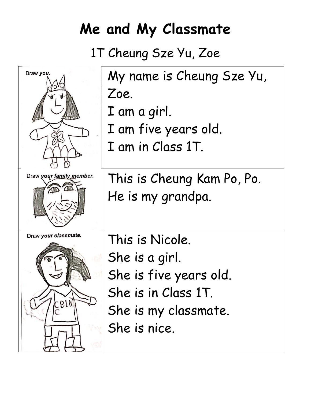# 1T Cheung Sze Yu, Zoe

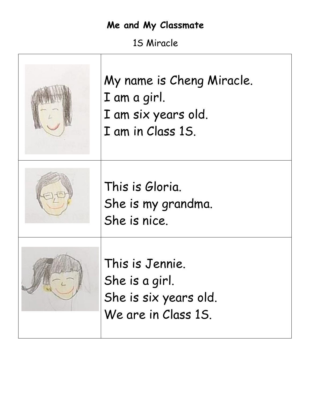1S Miracle

| My name is Cheng Miracle.<br>I am a girl.<br>I am six years old.<br>I am in Class 1S. |
|---------------------------------------------------------------------------------------|
| This is Gloria.<br>She is my grandma.<br>She is nice.                                 |
| This is Jennie.<br>She is a girl.<br>She is six years old.<br>We are in Class 15.     |